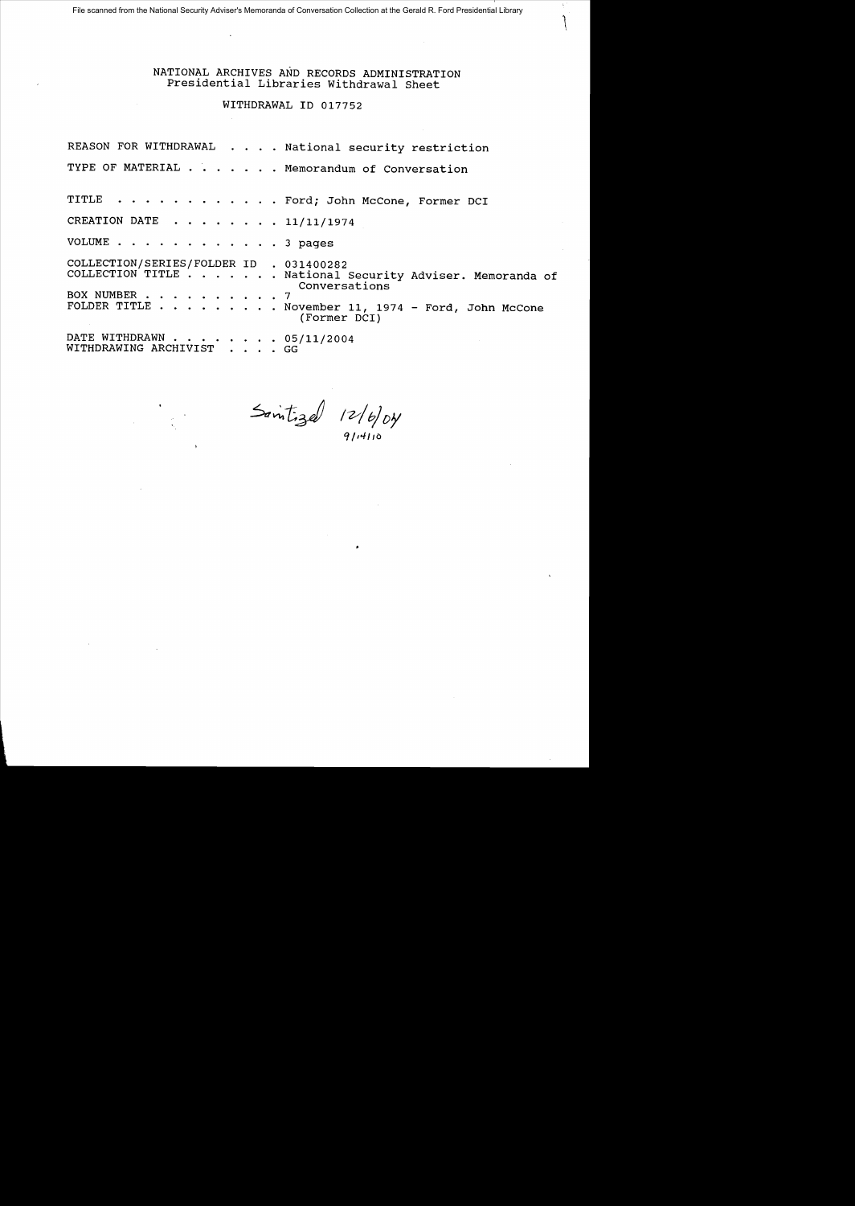### NATIONAL ARCHIVES AND RECORDS ADMINISTRATION Presidential Libraries withdrawal Sheet

## WITHDRAWAL ID 017752

REASON FOR WITHDRAWAL . . . . National security restriction TYPE OF MATERIAL . . . . . . Memorandum of Conversation TITLE . . . . . . . . . . . Ford; John McCone, Former DCI CREATION DATE  $\ldots$ ,  $\ldots$ ,  $\frac{11}{11/11/1974}$ VOLUME . . . . . . . . . . . . 3 pages COLLECTION/SERIES/FOLDER ID . 031400282 COLLECTION/SERIES/FOLDER ID . 031400282<br>COLLECTION TITLE . . . . . . National Security Adviser. Memoranda of . National Security Adviser. Memoranda of<br>Conversations BOX NUMBER . . .<br>FOLDER TITLE . . . . . . . . . .<br>. . . . . . . . · <sup>7</sup> November 11, 1974 - Ford, John McCone (Former DCI) DATE WITHDRAWN . . . . . . . .<br>WITHDRAWING ARCHIVIST . . .  $\cdot$   $.05/11/2004$ GG

 $5$  antigal  $12/6/6$ 

*q /10.// /0*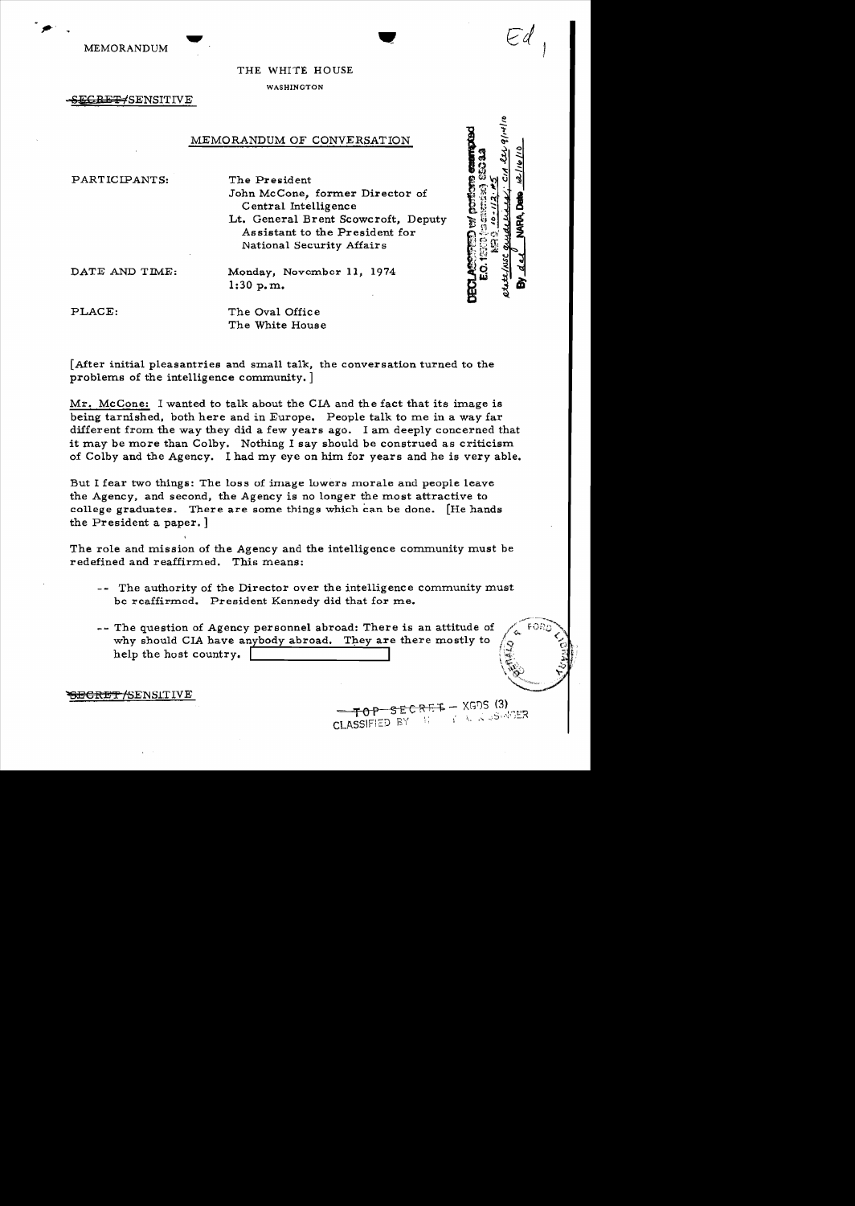MEMORANDUM

 $\bullet$  .

## THE WHITE HOUSE

WASHINGTON

EGRET/SENSITIVE

# MEMORANDUM OF CONVERSATION

PARTICIPANTS: The President

John McCone, former Director of Central Intelligence Lt. General Brent Scowcroft, Deputy Assistant to the President for National Security Affairs

**ED to the first** 

DATE AND TIME: Monday, November 11, 1974 1:30 p.m.

PLACE: The Oval Office

[After initial pleasantries and small talk, the conversation turned to the problems of the intelligence community.  $\vert$ 

The White House

Mr. McCone: I wanted to talk about the CIA and the fact that its image is being tarnished, both here and in Europe. People talk to me in a way far different from the way they did a few years ago. I am deeply concerned that it may be more than Colby. Nothing I say should be construed as criticism of Colby and the Agency. I had my eye on him for years and he is very able.

But I fear two things: The loss of image lowers morale and people leave the Agency, and second, the Agency is no longer the most attractive to college graduates. There are some things which can be done. [He hands the President a paper. ]

The role and mission of the Agency and the intelligence community must be redefined and reaffirmed. This means:

- -- The authority of the Director over the intelligence community must be reaffirmed. President Kennedy did that for me.
- -- The question of Agency personnel abroad: There is an attitude of why should CIA have anybody abroad. They are there mostly to help the host country.

<del>SECRET /</del>SENSLTIVE

 $SECREF - XGDS$  (3) **AND ASSISTER** CLASSIFIED BY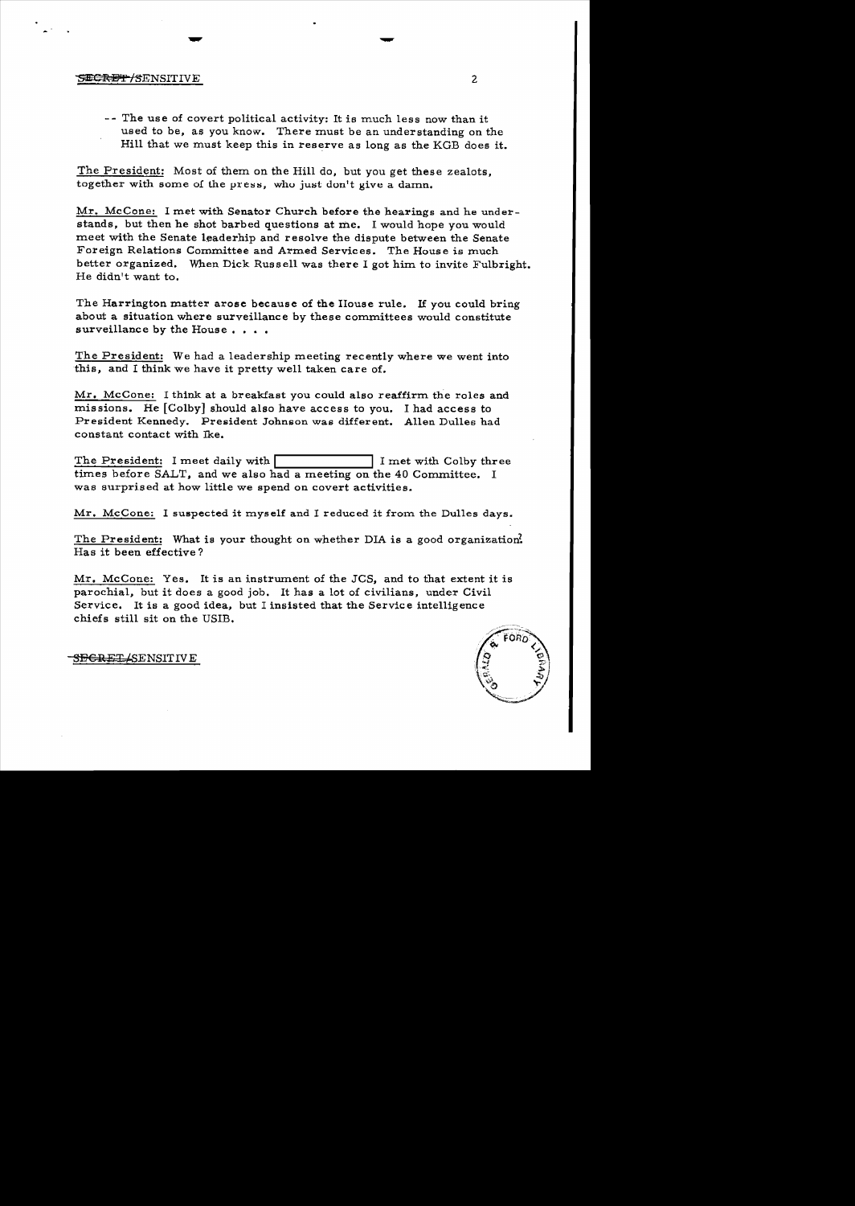#### ~f{E'f I~ENSITIVE 2

-- The use of covert political activity: It is much less now than it used to be, as you know. There must be an understanding on the Hill that we must keep this in reserve as long as the KGB does it.

The President: Most of them on the Hill do, but you get these zealots, together with some of the press, who just don't give a damn.

 $-$ 

Mr. McCone: I met with Senator Church before the hearings and he understands, but then he shot barbed questions at me. I would hope you would meet with the Senate leaderhip and resolve the dispute between the Senate Foreign Relations Committee and Armed Services. The House is much better organized. When Dick Russell was there I got him to invite Fulbright. He didn't want to.

The Harrington matter arose because of the House rule. If you could bring about a situation where surveillance by these committees would constitute surveillance by the House....

The President: We had a leadership meeting recently where we went into this, and I think we have it pretty well taken care of.

Mr. McCone: I think at a breakfast you could also reaffirm the roles and missions. He [Colby] should also have access to you. I had access to President Kennedy. President Johnson was different. Allen Dulles had constant contact with Ike.

The President: I meet daily with **I is a contract to T** I met with Colby three times before SALT, and we also had a meeting on the 40 Committee. I was surprised at how little we spend on covert activities.

Mr. McCone: I suspected it myself and I reduced it from the Dulles days.

The President: What is your thought on whether DIA is a good organization. Has it been effective?

Mr. McCone: Yes. It is an instrwnent of the JCS, and to that extent it is parochial, but it does a good job. It has a lot of civilians, under Civil Service. It is a good idea, but I insisted that the Service intelligence chiefs still sit on the USIB.



<del>SECRET/</del>SENSIT IV E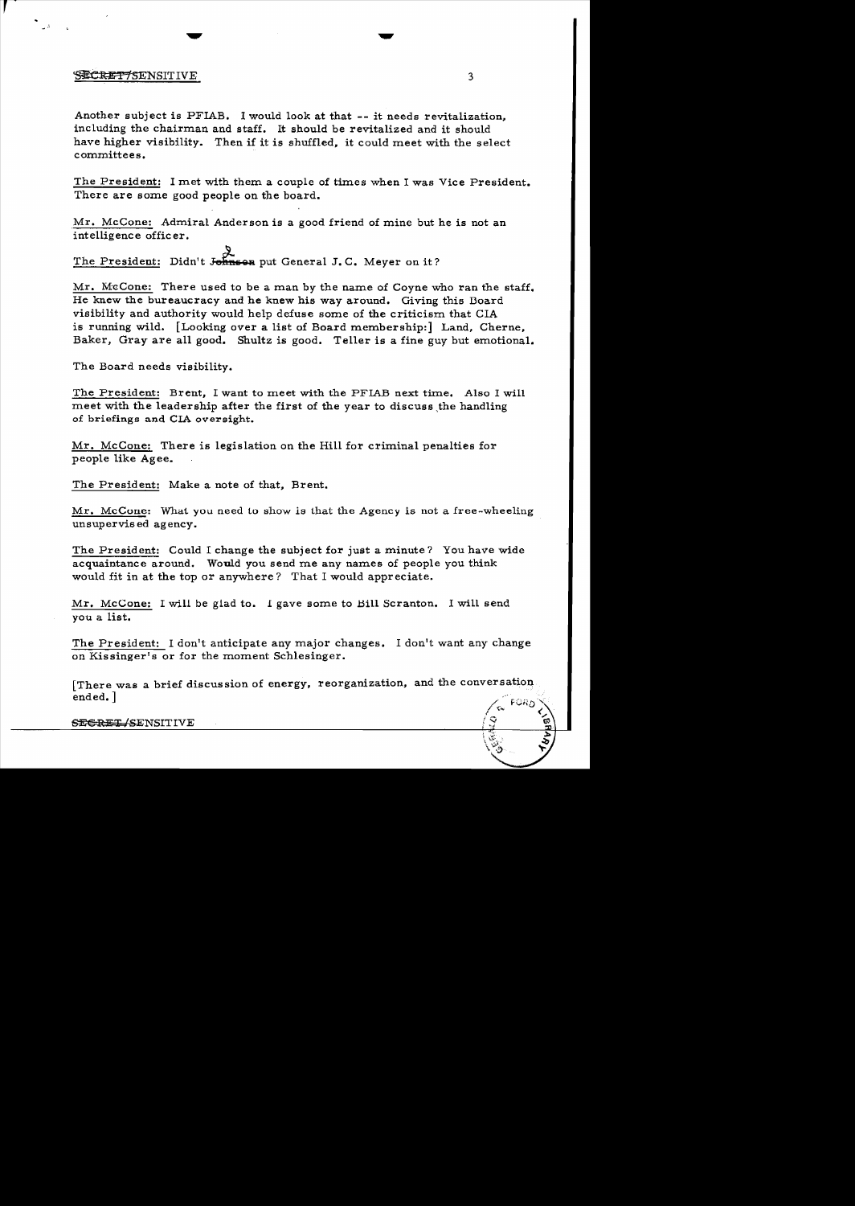### $\overline{\mathbf{S}}$ ECRET 7SENSITIVE 3

Another subject is PFIAB. I would look at that -- it needs revitalization. including the chairman and staff. It should be revitalized and it should have higher visibility. Then if it is shuffled, it could meet with the select committees.

The President: I met with them a couple of times when I was Vice President. There are some good people on the board.

.Mr. McCone: Admiral Anderson is a good friend of mine but he is not an intelligence officer.

The President: Didn't Johnson put General J. C. Meyer on it?

Mr. McCone: There used to be a man by the name of Coyne who ran the staff. He knew the bureaucracy and he knew his way around. Giving this Doard visibility and authority would help defuse some of the criticism that CIA is running wild. [Looking over a list of Board membership:] Land, Cherne, Baker, Gray are all good. Shultz is good. Teller is a fine guy but emotional.

The Board needs visibility.

The President: Brent, I want to meet with the PFIAB next time. Also I will meet with the leadership after the first of the year to discuss the handling of briefings and CIA oversight.

Mr. McCone: There is legislation on the Hill for criminal penalties for people like Agee.

The President: Make a note of that, Brent.

Mr. McCone: What you need to show is that the Agency is not a free-wheeling unsupervised agency.

The President: Could I change the subject for just a minute? You have wide acquaintance around. Would you send me any names of people you think would fit in at the top or anywhere? That I would appreciate.

Mr. McCone: I will be glad to. I gave some to Bill Scranton. I will send you a list.

The President: I don't anticipate any major changes. I don't want any change on Kissinger's or for the moment Schlesinger.

[There was a brief discussion of energy, reorganization, and the conversatioq. ended. ]

SEGRET/SENSITIVE